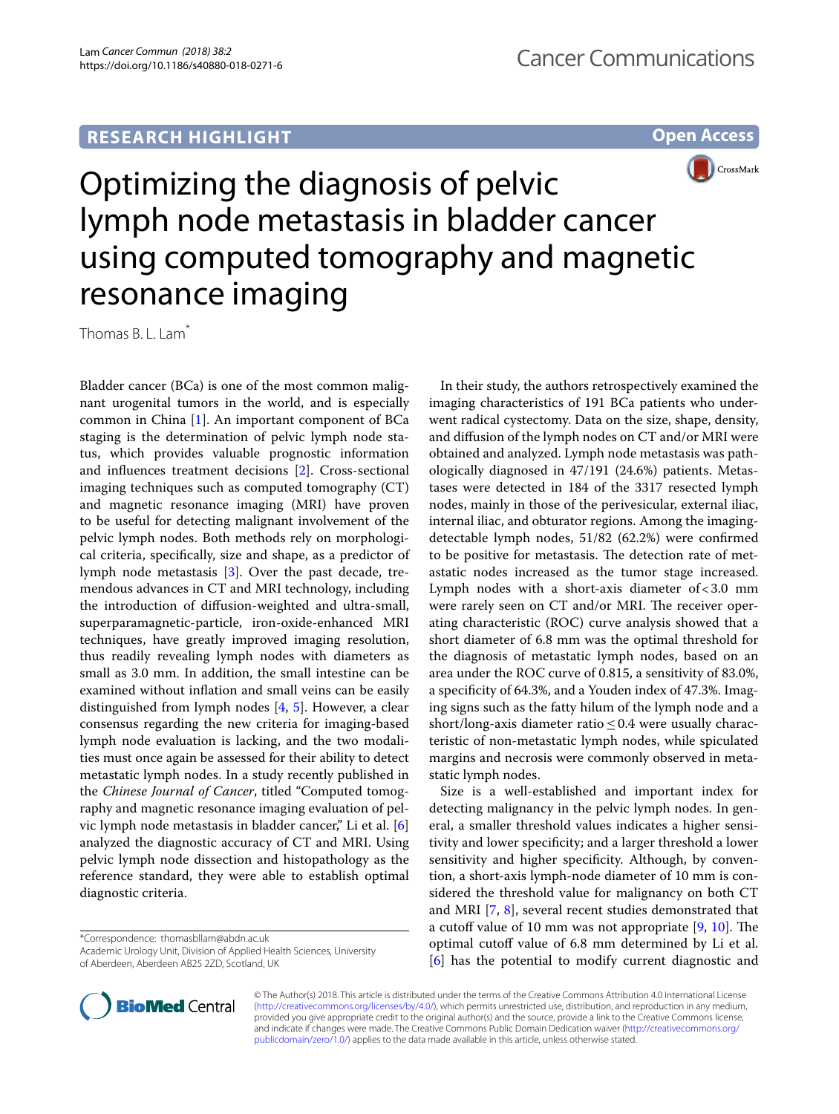## **RESEARCH HIGHLIGHT**

**Open Access**



# Optimizing the diagnosis of pelvic lymph node metastasis in bladder cancer using computed tomography and magnetic resonance imaging

Thomas B. L. Lam<sup>\*</sup>

Bladder cancer (BCa) is one of the most common malignant urogenital tumors in the world, and is especially common in China [\[1](#page-1-0)]. An important component of BCa staging is the determination of pelvic lymph node status, which provides valuable prognostic information and infuences treatment decisions [\[2](#page-1-1)]. Cross-sectional imaging techniques such as computed tomography (CT) and magnetic resonance imaging (MRI) have proven to be useful for detecting malignant involvement of the pelvic lymph nodes. Both methods rely on morphological criteria, specifcally, size and shape, as a predictor of lymph node metastasis [[3\]](#page-1-2). Over the past decade, tremendous advances in CT and MRI technology, including the introduction of difusion-weighted and ultra-small, superparamagnetic-particle, iron-oxide-enhanced MRI techniques, have greatly improved imaging resolution, thus readily revealing lymph nodes with diameters as small as 3.0 mm. In addition, the small intestine can be examined without infation and small veins can be easily distinguished from lymph nodes [[4,](#page-1-3) [5](#page-1-4)]. However, a clear consensus regarding the new criteria for imaging-based lymph node evaluation is lacking, and the two modalities must once again be assessed for their ability to detect metastatic lymph nodes. In a study recently published in the *Chinese Journal of Cancer*, titled "Computed tomography and magnetic resonance imaging evaluation of pelvic lymph node metastasis in bladder cancer," Li et al. [\[6](#page-1-5)] analyzed the diagnostic accuracy of CT and MRI. Using pelvic lymph node dissection and histopathology as the reference standard, they were able to establish optimal diagnostic criteria.

\*Correspondence: thomasbllam@abdn.ac.uk

Academic Urology Unit, Division of Applied Health Sciences, University of Aberdeen, Aberdeen AB25 2ZD, Scotland, UK



Size is a well-established and important index for detecting malignancy in the pelvic lymph nodes. In general, a smaller threshold values indicates a higher sensitivity and lower specifcity; and a larger threshold a lower sensitivity and higher specifcity. Although, by convention, a short-axis lymph-node diameter of 10 mm is considered the threshold value for malignancy on both CT and MRI [[7,](#page-1-6) [8\]](#page-1-7), several recent studies demonstrated that a cutoff value of 10 mm was not appropriate  $[9, 10]$  $[9, 10]$  $[9, 10]$  $[9, 10]$ . The optimal cutoff value of 6.8 mm determined by Li et al. [[6\]](#page-1-5) has the potential to modify current diagnostic and



© The Author(s) 2018. This article is distributed under the terms of the Creative Commons Attribution 4.0 International License [\(http://creativecommons.org/licenses/by/4.0/\)](http://creativecommons.org/licenses/by/4.0/), which permits unrestricted use, distribution, and reproduction in any medium, provided you give appropriate credit to the original author(s) and the source, provide a link to the Creative Commons license, and indicate if changes were made. The Creative Commons Public Domain Dedication waiver ([http://creativecommons.org/](http://creativecommons.org/publicdomain/zero/1.0/) [publicdomain/zero/1.0/](http://creativecommons.org/publicdomain/zero/1.0/)) applies to the data made available in this article, unless otherwise stated.